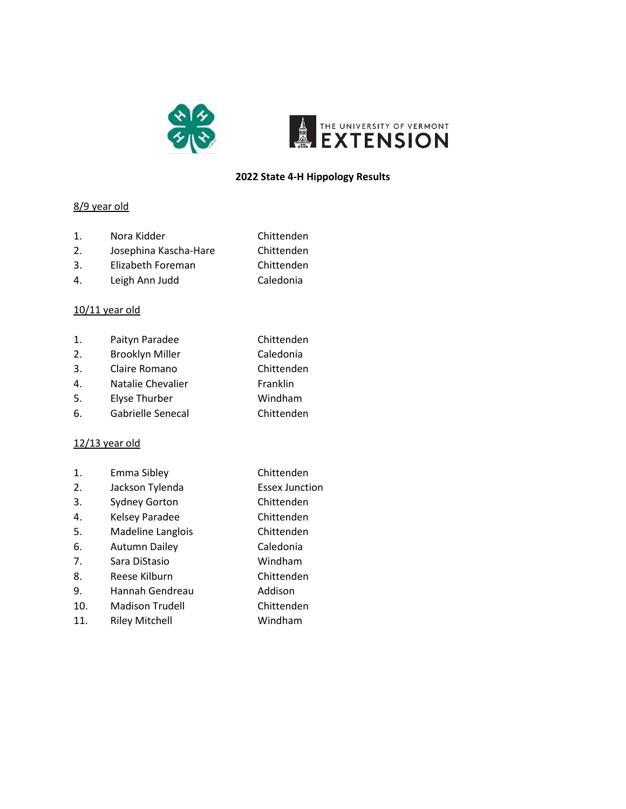



#### **2022 State 4-H Hippology Results**

## 8/9 year old

- 1. Nora Kidder Chittenden
- 2. Josephina Kascha-Hare Chittenden
- 3. Elizabeth Foreman Chittenden
- 4. Leigh Ann Judd Caledonia

## 10/11 year old

| 1.  | Paityn Paradee         | Chittenden |
|-----|------------------------|------------|
| 2.  | <b>Brooklyn Miller</b> | Caledonia  |
| 3.  | Claire Romano          | Chittenden |
| 4.  | Natalie Chevalier      | Franklin   |
| .5. | <b>Elyse Thurber</b>   | Windham    |

6. Gabrielle Senecal Chittenden

#### 12/13 year old

| 1.  | Emma Sibley            | Chittenden            |
|-----|------------------------|-----------------------|
| 2.  | Jackson Tylenda        | <b>Essex Junction</b> |
| 3.  | <b>Sydney Gorton</b>   | Chittenden            |
| 4.  | Kelsey Paradee         | Chittenden            |
| 5.  | Madeline Langlois      | Chittenden            |
| 6.  | <b>Autumn Dailey</b>   | Caledonia             |
| 7.  | Sara DiStasio          | Windham               |
| 8.  | Reese Kilburn          | Chittenden            |
| 9.  | Hannah Gendreau        | Addison               |
| 10. | <b>Madison Trudell</b> | Chittenden            |
| 11. | <b>Riley Mitchell</b>  | Windham               |